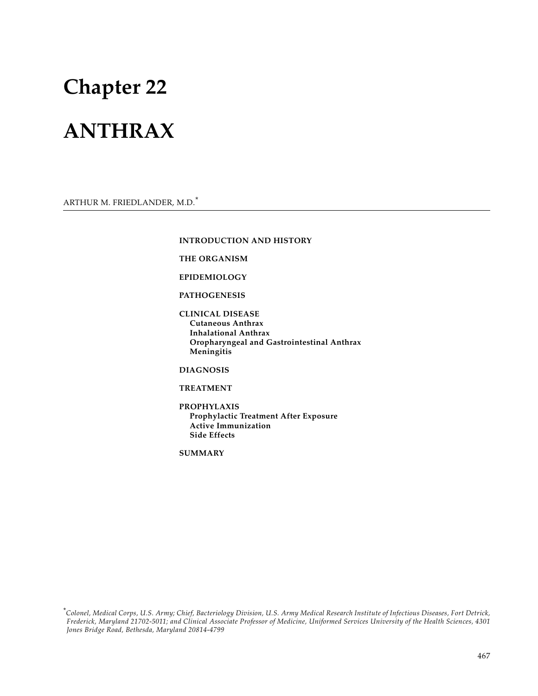# **Chapter 22 ANTHRAX**

ARTHUR M. FRIEDLANDER, M.D.\*

**INTRODUCTION AND HISTORY**

**THE ORGANISM**

**EPIDEMIOLOGY**

**PATHOGENESIS**

**CLINICAL DISEASE Cutaneous Anthrax Inhalational Anthrax Oropharyngeal and Gastrointestinal Anthrax Meningitis**

**DIAGNOSIS**

**TREATMENT**

**PROPHYLAXIS Prophylactic Treatment After Exposure Active Immunization Side Effects**

**SUMMARY**

<sup>\*</sup>*Colonel, Medical Corps, U.S. Army; Chief, Bacteriology Division, U.S. Army Medical Research Institute of Infectious Diseases, Fort Detrick, Frederick, Maryland 21702-5011; and Clinical Associate Professor of Medicine, Uniformed Services University of the Health Sciences, 4301 Jones Bridge Road, Bethesda, Maryland 20814-4799*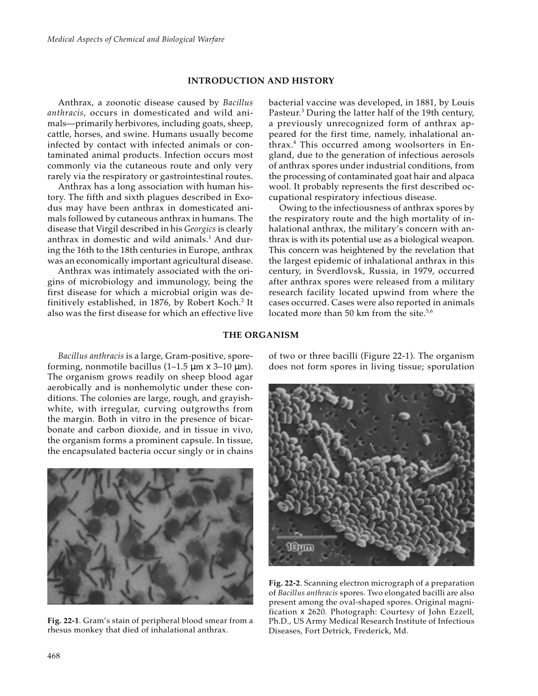## **INTRODUCTION AND HISTORY**

Anthrax, a zoonotic disease caused by *Bacillus anthracis*, occurs in domesticated and wild animals—primarily herbivores, including goats, sheep, cattle, horses, and swine. Humans usually become infected by contact with infected animals or contaminated animal products. Infection occurs most commonly via the cutaneous route and only very rarely via the respiratory or gastrointestinal routes.

Anthrax has a long association with human history. The fifth and sixth plagues described in Exodus may have been anthrax in domesticated animals followed by cutaneous anthrax in humans. The disease that Virgil described in his *Georgics* is clearly anthrax in domestic and wild animals. $<sup>1</sup>$  And dur-</sup> ing the 16th to the 18th centuries in Europe, anthrax was an economically important agricultural disease.

Anthrax was intimately associated with the origins of microbiology and immunology, being the first disease for which a microbial origin was definitively established, in 1876, by Robert Koch. $^2$  It also was the first disease for which an effective live bacterial vaccine was developed, in 1881, by Louis Pasteur.<sup>3</sup> During the latter half of the 19th century, a previously unrecognized form of anthrax appeared for the first time, namely, inhalational anthrax.<sup>4</sup> This occurred among woolsorters in England, due to the generation of infectious aerosols of anthrax spores under industrial conditions, from the processing of contaminated goat hair and alpaca wool. It probably represents the first described occupational respiratory infectious disease.

Owing to the infectiousness of anthrax spores by the respiratory route and the high mortality of inhalational anthrax, the military's concern with anthrax is with its potential use as a biological weapon. This concern was heightened by the revelation that the largest epidemic of inhalational anthrax in this century, in Sverdlovsk, Russia, in 1979, occurred after anthrax spores were released from a military research facility located upwind from where the cases occurred. Cases were also reported in animals located more than 50 km from the site.<sup>5,6</sup>

# **THE ORGANISM**

*Bacillus anthracis* is a large, Gram-positive, sporeforming, nonmotile bacillus  $(1-1.5 \mu m \times 3-10 \mu m)$ . The organism grows readily on sheep blood agar aerobically and is nonhemolytic under these conditions. The colonies are large, rough, and grayishwhite, with irregular, curving outgrowths from the margin. Both in vitro in the presence of bicarbonate and carbon dioxide, and in tissue in vivo, the organism forms a prominent capsule. In tissue, the encapsulated bacteria occur singly or in chains



**Fig. 22-1**. Gram's stain of peripheral blood smear from a rhesus monkey that died of inhalational anthrax.

of two or three bacilli (Figure 22-1). The organism does not form spores in living tissue; sporulation



**Fig. 22-2**. Scanning electron micrograph of a preparation of *Bacillus anthracis* spores. Two elongated bacilli are also present among the oval-shaped spores. Original magnification x 2620. Photograph: Courtesy of John Ezzell, Ph.D., US Army Medical Research Institute of Infectious Diseases, Fort Detrick, Frederick, Md.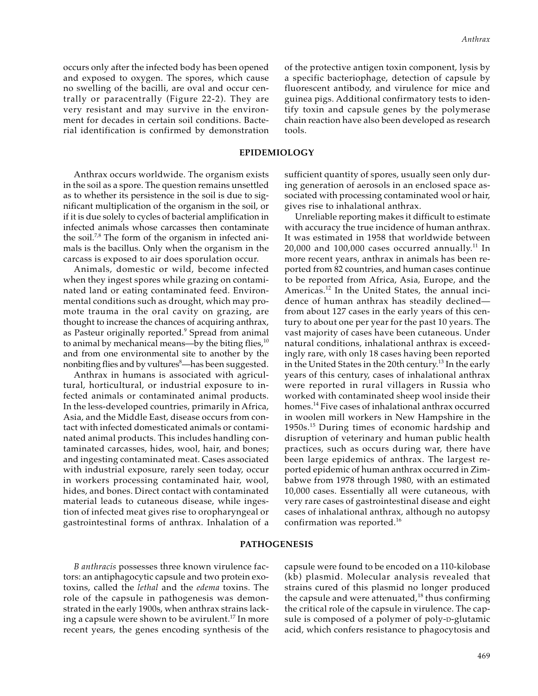occurs only after the infected body has been opened and exposed to oxygen. The spores, which cause no swelling of the bacilli, are oval and occur centrally or paracentrally (Figure 22-2). They are very resistant and may survive in the environment for decades in certain soil conditions. Bacterial identification is confirmed by demonstration of the protective antigen toxin component, lysis by a specific bacteriophage, detection of capsule by fluorescent antibody, and virulence for mice and guinea pigs. Additional confirmatory tests to identify toxin and capsule genes by the polymerase chain reaction have also been developed as research tools.

#### **EPIDEMIOLOGY**

Anthrax occurs worldwide. The organism exists in the soil as a spore. The question remains unsettled as to whether its persistence in the soil is due to significant multiplication of the organism in the soil, or if it is due solely to cycles of bacterial amplification in infected animals whose carcasses then contaminate the soil.<sup>7,8</sup> The form of the organism in infected animals is the bacillus. Only when the organism in the carcass is exposed to air does sporulation occur.

Animals, domestic or wild, become infected when they ingest spores while grazing on contaminated land or eating contaminated feed. Environmental conditions such as drought, which may promote trauma in the oral cavity on grazing, are thought to increase the chances of acquiring anthrax, as Pasteur originally reported.<sup>9</sup> Spread from animal to animal by mechanical means—by the biting flies, $10$ and from one environmental site to another by the nonbiting flies and by vultures $^8$ —has been suggested.

Anthrax in humans is associated with agricultural, horticultural, or industrial exposure to infected animals or contaminated animal products. In the less-developed countries, primarily in Africa, Asia, and the Middle East, disease occurs from contact with infected domesticated animals or contaminated animal products. This includes handling contaminated carcasses, hides, wool, hair, and bones; and ingesting contaminated meat. Cases associated with industrial exposure, rarely seen today, occur in workers processing contaminated hair, wool, hides, and bones. Direct contact with contaminated material leads to cutaneous disease, while ingestion of infected meat gives rise to oropharyngeal or gastrointestinal forms of anthrax. Inhalation of a

sufficient quantity of spores, usually seen only during generation of aerosols in an enclosed space associated with processing contaminated wool or hair, gives rise to inhalational anthrax.

Unreliable reporting makes it difficult to estimate with accuracy the true incidence of human anthrax. It was estimated in 1958 that worldwide between  $20,000$  and  $100,000$  cases occurred annually.<sup>11</sup> In more recent years, anthrax in animals has been reported from 82 countries, and human cases continue to be reported from Africa, Asia, Europe, and the Americas.12 In the United States, the annual incidence of human anthrax has steadily declined from about 127 cases in the early years of this century to about one per year for the past 10 years. The vast majority of cases have been cutaneous. Under natural conditions, inhalational anthrax is exceedingly rare, with only 18 cases having been reported in the United States in the 20th century.<sup>13</sup> In the early years of this century, cases of inhalational anthrax were reported in rural villagers in Russia who worked with contaminated sheep wool inside their homes.<sup>14</sup> Five cases of inhalational anthrax occurred in woolen mill workers in New Hampshire in the 1950s.15 During times of economic hardship and disruption of veterinary and human public health practices, such as occurs during war, there have been large epidemics of anthrax. The largest reported epidemic of human anthrax occurred in Zimbabwe from 1978 through 1980, with an estimated 10,000 cases. Essentially all were cutaneous, with very rare cases of gastrointestinal disease and eight cases of inhalational anthrax, although no autopsy confirmation was reported.<sup>16</sup>

# **PATHOGENESIS**

*B anthracis* possesses three known virulence factors: an antiphagocytic capsule and two protein exotoxins, called the *lethal* and the *edema* toxins. The role of the capsule in pathogenesis was demonstrated in the early 1900s, when anthrax strains lacking a capsule were shown to be avirulent.<sup>17</sup> In more recent years, the genes encoding synthesis of the

capsule were found to be encoded on a 110-kilobase (kb) plasmid. Molecular analysis revealed that strains cured of this plasmid no longer produced the capsule and were attenuated,<sup>18</sup> thus confirming the critical role of the capsule in virulence. The capsule is composed of a polymer of poly-D-glutamic acid, which confers resistance to phagocytosis and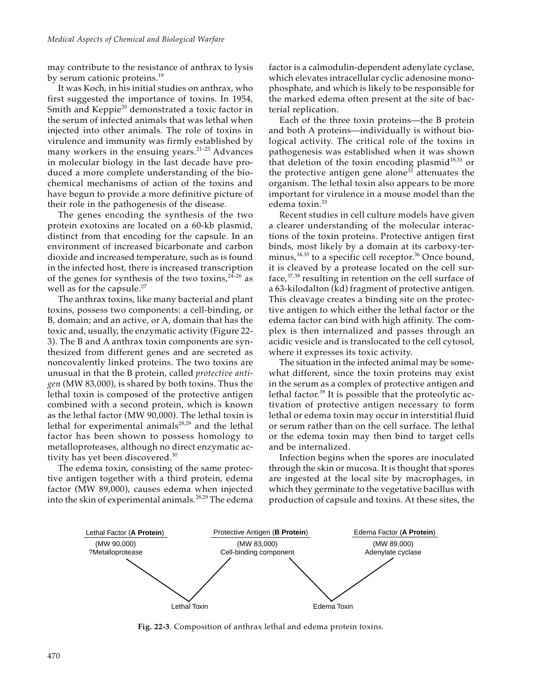may contribute to the resistance of anthrax to lysis by serum cationic proteins.<sup>19</sup>

It was Koch, in his initial studies on anthrax, who first suggested the importance of toxins. In 1954, Smith and Keppie<sup>20</sup> demonstrated a toxic factor in the serum of infected animals that was lethal when injected into other animals. The role of toxins in virulence and immunity was firmly established by many workers in the ensuing years.<sup>21-23</sup> Advances in molecular biology in the last decade have produced a more complete understanding of the biochemical mechanisms of action of the toxins and have begun to provide a more definitive picture of their role in the pathogenesis of the disease.

The genes encoding the synthesis of the two protein exotoxins are located on a 60-kb plasmid, distinct from that encoding for the capsule. In an environment of increased bicarbonate and carbon dioxide and increased temperature, such as is found in the infected host, there is increased transcription of the genes for synthesis of the two toxins,  $24-26$  as well as for the capsule.<sup>27</sup>

The anthrax toxins, like many bacterial and plant toxins, possess two components: a cell-binding, or B, domain; and an active, or A, domain that has the toxic and, usually, the enzymatic activity (Figure 22- 3). The B and A anthrax toxin components are synthesized from different genes and are secreted as noncovalently linked proteins. The two toxins are unusual in that the B protein, called *protective antigen* (MW 83,000), is shared by both toxins. Thus the lethal toxin is composed of the protective antigen combined with a second protein, which is known as the lethal factor (MW 90,000). The lethal toxin is lethal for experimental animals $28,29$  and the lethal factor has been shown to possess homology to metalloproteases, although no direct enzymatic activity has yet been discovered.<sup>30</sup>

The edema toxin, consisting of the same protective antigen together with a third protein, edema factor (MW 89,000), causes edema when injected into the skin of experimental animals.<sup>28,29</sup> The edema

factor is a calmodulin-dependent adenylate cyclase, which elevates intracellular cyclic adenosine monophosphate, and which is likely to be responsible for the marked edema often present at the site of bacterial replication.

Each of the three toxin proteins—the B protein and both A proteins—individually is without biological activity. The critical role of the toxins in pathogenesis was established when it was shown that deletion of the toxin encoding plasmid $18,31$  or the protective antigen gene alone<sup>32</sup> attenuates the organism. The lethal toxin also appears to be more important for virulence in a mouse model than the edema toxin.<sup>33</sup>

Recent studies in cell culture models have given a clearer understanding of the molecular interactions of the toxin proteins. Protective antigen first binds, most likely by a domain at its carboxy-terminus,  $34,35$  to a specific cell receptor.  $36$  Once bound, it is cleaved by a protease located on the cell surface, $37,38$  resulting in retention on the cell surface of a 63-kilodalton (kd) fragment of protective antigen. This cleavage creates a binding site on the protective antigen to which either the lethal factor or the edema factor can bind with high affinity. The complex is then internalized and passes through an acidic vesicle and is translocated to the cell cytosol, where it expresses its toxic activity.

The situation in the infected animal may be somewhat different, since the toxin proteins may exist in the serum as a complex of protective antigen and lethal factor.<sup>39</sup> It is possible that the proteolytic activation of protective antigen necessary to form lethal or edema toxin may occur in interstitial fluid or serum rather than on the cell surface. The lethal or the edema toxin may then bind to target cells and be internalized.

Infection begins when the spores are inoculated through the skin or mucosa. It is thought that spores are ingested at the local site by macrophages, in which they germinate to the vegetative bacillus with production of capsule and toxins. At these sites, the



**Fig. 22-3**. Composition of anthrax lethal and edema protein toxins.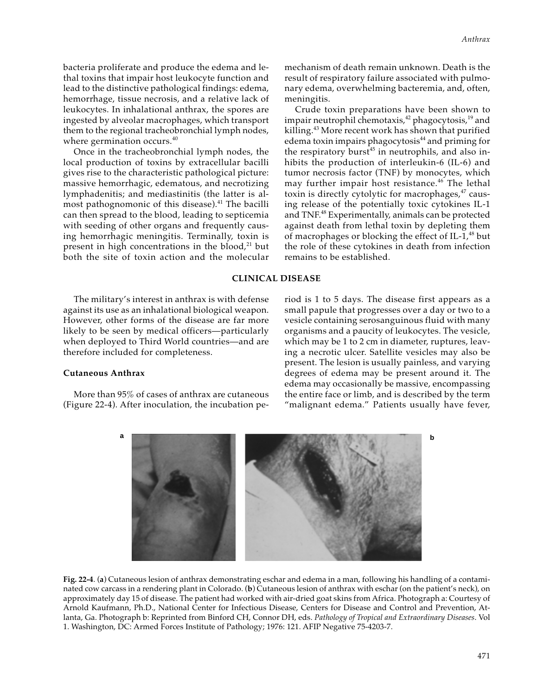bacteria proliferate and produce the edema and lethal toxins that impair host leukocyte function and lead to the distinctive pathological findings: edema, hemorrhage, tissue necrosis, and a relative lack of leukocytes. In inhalational anthrax, the spores are ingested by alveolar macrophages, which transport them to the regional tracheobronchial lymph nodes, where germination occurs. $40$ 

Once in the tracheobronchial lymph nodes, the local production of toxins by extracellular bacilli gives rise to the characteristic pathological picture: massive hemorrhagic, edematous, and necrotizing lymphadenitis; and mediastinitis (the latter is almost pathognomonic of this disease).<sup>41</sup> The bacilli can then spread to the blood, leading to septicemia with seeding of other organs and frequently causing hemorrhagic meningitis. Terminally, toxin is present in high concentrations in the blood, $21$  but both the site of toxin action and the molecular

mechanism of death remain unknown. Death is the result of respiratory failure associated with pulmonary edema, overwhelming bacteremia, and, often, meningitis.

Crude toxin preparations have been shown to impair neutrophil chemotaxis,<sup>42</sup> phagocytosis,<sup>19</sup> and killing.<sup>43</sup> More recent work has shown that purified edema toxin impairs phagocytosis<sup>44</sup> and priming for the respiratory burst $45$  in neutrophils, and also inhibits the production of interleukin-6 (IL-6) and tumor necrosis factor (TNF) by monocytes, which may further impair host resistance.<sup>46</sup> The lethal toxin is directly cytolytic for macrophages, $47$  causing release of the potentially toxic cytokines IL-1 and TNF.<sup>48</sup> Experimentally, animals can be protected against death from lethal toxin by depleting them of macrophages or blocking the effect of IL-1,<sup>48</sup> but the role of these cytokines in death from infection remains to be established.

## **CLINICAL DISEASE**

The military's interest in anthrax is with defense against its use as an inhalational biological weapon. However, other forms of the disease are far more likely to be seen by medical officers—particularly when deployed to Third World countries—and are therefore included for completeness.

## **Cutaneous Anthrax**

More than 95% of cases of anthrax are cutaneous (Figure 22-4). After inoculation, the incubation period is 1 to 5 days. The disease first appears as a small papule that progresses over a day or two to a vesicle containing serosanguinous fluid with many organisms and a paucity of leukocytes. The vesicle, which may be 1 to 2 cm in diameter, ruptures, leaving a necrotic ulcer. Satellite vesicles may also be present. The lesion is usually painless, and varying degrees of edema may be present around it. The edema may occasionally be massive, encompassing the entire face or limb, and is described by the term "malignant edema." Patients usually have fever,



**Fig. 22-4**. (**a**) Cutaneous lesion of anthrax demonstrating eschar and edema in a man, following his handling of a contaminated cow carcass in a rendering plant in Colorado. (**b**) Cutaneous lesion of anthrax with eschar (on the patient's neck), on approximately day 15 of disease. The patient had worked with air-dried goat skins from Africa. Photograph a: Courtesy of Arnold Kaufmann, Ph.D., National Center for Infectious Disease, Centers for Disease and Control and Prevention, Atlanta, Ga. Photograph b: Reprinted from Binford CH, Connor DH, eds. *Pathology of Tropical and Extraordinary Diseases*. Vol 1. Washington, DC: Armed Forces Institute of Pathology; 1976: 121. AFIP Negative 75-4203-7.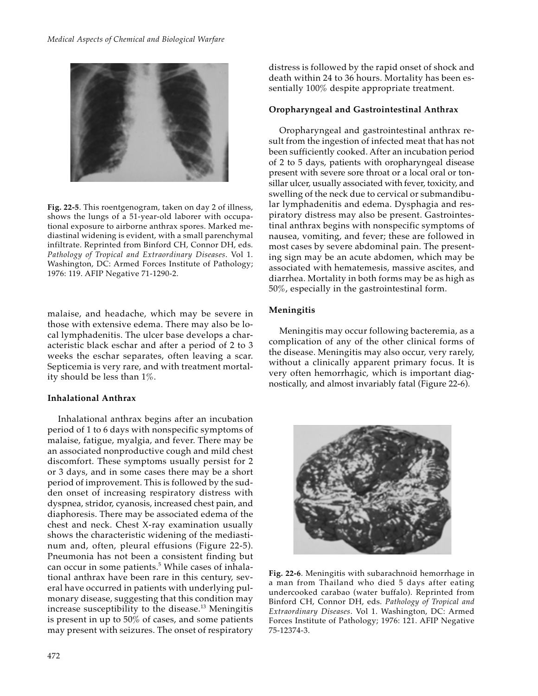

**Fig. 22-5**. This roentgenogram, taken on day 2 of illness, shows the lungs of a 51-year-old laborer with occupational exposure to airborne anthrax spores. Marked mediastinal widening is evident, with a small parenchymal infiltrate. Reprinted from Binford CH, Connor DH, eds. *Pathology of Tropical and Extraordinary Diseases*. Vol 1. Washington, DC: Armed Forces Institute of Pathology; 1976: 119. AFIP Negative 71-1290-2.

malaise, and headache, which may be severe in those with extensive edema. There may also be local lymphadenitis. The ulcer base develops a characteristic black eschar and after a period of 2 to 3 weeks the eschar separates, often leaving a scar. Septicemia is very rare, and with treatment mortality should be less than 1%.

# **Inhalational Anthrax**

Inhalational anthrax begins after an incubation period of 1 to 6 days with nonspecific symptoms of malaise, fatigue, myalgia, and fever. There may be an associated nonproductive cough and mild chest discomfort. These symptoms usually persist for 2 or 3 days, and in some cases there may be a short period of improvement. This is followed by the sudden onset of increasing respiratory distress with dyspnea, stridor, cyanosis, increased chest pain, and diaphoresis. There may be associated edema of the chest and neck. Chest X-ray examination usually shows the characteristic widening of the mediastinum and, often, pleural effusions (Figure 22-5). Pneumonia has not been a consistent finding but can occur in some patients.<sup>5</sup> While cases of inhalational anthrax have been rare in this century, several have occurred in patients with underlying pulmonary disease, suggesting that this condition may increase susceptibility to the disease.<sup>13</sup> Meningitis is present in up to 50% of cases, and some patients may present with seizures. The onset of respiratory distress is followed by the rapid onset of shock and death within 24 to 36 hours. Mortality has been essentially 100% despite appropriate treatment.

# **Oropharyngeal and Gastrointestinal Anthrax**

Oropharyngeal and gastrointestinal anthrax result from the ingestion of infected meat that has not been sufficiently cooked. After an incubation period of 2 to 5 days, patients with oropharyngeal disease present with severe sore throat or a local oral or tonsillar ulcer, usually associated with fever, toxicity, and swelling of the neck due to cervical or submandibular lymphadenitis and edema. Dysphagia and respiratory distress may also be present. Gastrointestinal anthrax begins with nonspecific symptoms of nausea, vomiting, and fever; these are followed in most cases by severe abdominal pain. The presenting sign may be an acute abdomen, which may be associated with hematemesis, massive ascites, and diarrhea. Mortality in both forms may be as high as 50%, especially in the gastrointestinal form.

# **Meningitis**

Meningitis may occur following bacteremia, as a complication of any of the other clinical forms of the disease. Meningitis may also occur, very rarely, without a clinically apparent primary focus. It is very often hemorrhagic, which is important diagnostically, and almost invariably fatal (Figure 22-6).



**Fig. 22-6**. Meningitis with subarachnoid hemorrhage in a man from Thailand who died 5 days after eating undercooked carabao (water buffalo). Reprinted from Binford CH, Connor DH, eds. *Pathology of Tropical and Extraordinary Diseases*. Vol 1. Washington, DC: Armed Forces Institute of Pathology; 1976: 121. AFIP Negative 75-12374-3.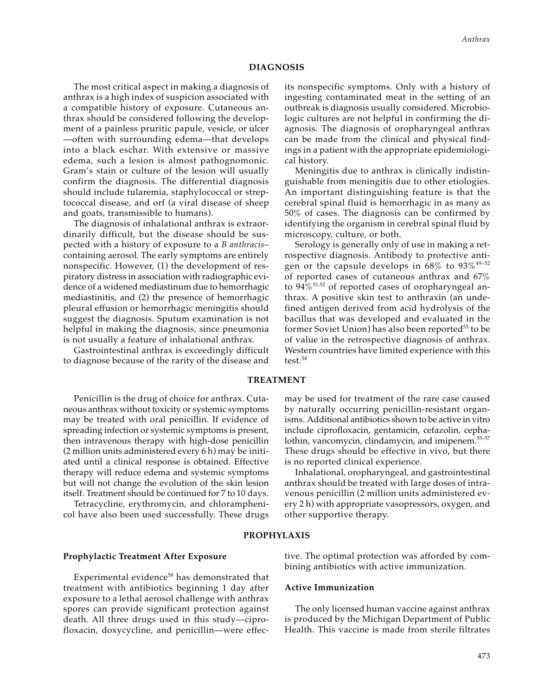# **DIAGNOSIS**

The most critical aspect in making a diagnosis of anthrax is a high index of suspicion associated with a compatible history of exposure. Cutaneous anthrax should be considered following the development of a painless pruritic papule, vesicle, or ulcer —often with surrounding edema—that develops into a black eschar. With extensive or massive edema, such a lesion is almost pathognomonic. Gram's stain or culture of the lesion will usually confirm the diagnosis. The differential diagnosis should include tularemia, staphylococcal or streptococcal disease, and orf (a viral disease of sheep and goats, transmissible to humans).

The diagnosis of inhalational anthrax is extraordinarily difficult, but the disease should be suspected with a history of exposure to a *B anthracis*– containing aerosol. The early symptoms are entirely nonspecific. However, (1) the development of respiratory distress in association with radiographic evidence of a widened mediastinum due to hemorrhagic mediastinitis, and (2) the presence of hemorrhagic pleural effusion or hemorrhagic meningitis should suggest the diagnosis. Sputum examination is not helpful in making the diagnosis, since pneumonia is not usually a feature of inhalational anthrax.

Gastrointestinal anthrax is exceedingly difficult to diagnose because of the rarity of the disease and

Penicillin is the drug of choice for anthrax. Cutaneous anthrax without toxicity or systemic symptoms may be treated with oral penicillin. If evidence of spreading infection or systemic symptoms is present, then intravenous therapy with high-dose penicillin (2 million units administered every 6 h) may be initiated until a clinical response is obtained. Effective therapy will reduce edema and systemic symptoms but will not change the evolution of the skin lesion itself. Treatment should be continued for 7 to 10 days.

Tetracycline, erythromycin, and chloramphenicol have also been used successfully. These drugs its nonspecific symptoms. Only with a history of ingesting contaminated meat in the setting of an outbreak is diagnosis usually considered. Microbiologic cultures are not helpful in confirming the diagnosis. The diagnosis of oropharyngeal anthrax can be made from the clinical and physical findings in a patient with the appropriate epidemiological history.

Meningitis due to anthrax is clinically indistinguishable from meningitis due to other etiologies. An important distinguishing feature is that the cerebral spinal fluid is hemorrhagic in as many as 50% of cases. The diagnosis can be confirmed by identifying the organism in cerebral spinal fluid by microscopy, culture, or both.

Serology is generally only of use in making a retrospective diagnosis. Antibody to protective antigen or the capsule develops in  $68\%$  to  $93\%$ <sup>49-52</sup> of reported cases of cutaneous anthrax and 67% to  $94\%$ <sup>51,52</sup> of reported cases of oropharyngeal anthrax. A positive skin test to anthraxin (an undefined antigen derived from acid hydrolysis of the bacillus that was developed and evaluated in the former Soviet Union) has also been reported<sup>53</sup> to be of value in the retrospective diagnosis of anthrax. Western countries have limited experience with this test. $54$ 

## **TREATMENT**

may be used for treatment of the rare case caused by naturally occurring penicillin-resistant organisms. Additional antibiotics shown to be active in vitro include ciprofloxacin, gentamicin, cefazolin, cephalothin, vancomycin, clindamycin, and imipenem.<sup>55-57</sup> These drugs should be effective in vivo, but there is no reported clinical experience.

Inhalational, oropharyngeal, and gastrointestinal anthrax should be treated with large doses of intravenous penicillin (2 million units administered every 2 h) with appropriate vasopressors, oxygen, and other supportive therapy.

# **PROPHYLAXIS**

#### **Prophylactic Treatment After Exposure**

Experimental evidence<sup>58</sup> has demonstrated that treatment with antibiotics beginning 1 day after exposure to a lethal aerosol challenge with anthrax spores can provide significant protection against death. All three drugs used in this study—ciprofloxacin, doxycycline, and penicillin—were effective. The optimal protection was afforded by combining antibiotics with active immunization.

#### **Active Immunization**

The only licensed human vaccine against anthrax is produced by the Michigan Department of Public Health. This vaccine is made from sterile filtrates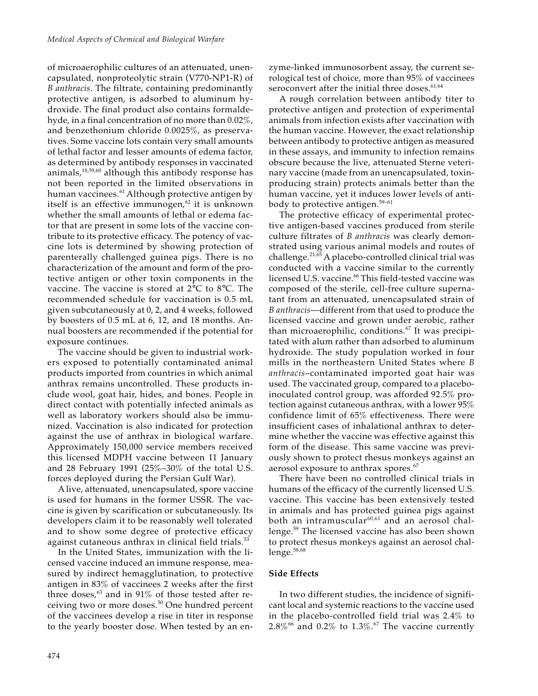of microaerophilic cultures of an attenuated, unencapsulated, nonproteolytic strain (V770-NP1-R) of *B anthracis*. The filtrate, containing predominantly protective antigen, is adsorbed to aluminum hydroxide. The final product also contains formaldehyde, in a final concentration of no more than 0.02%, and benzethonium chloride 0.0025%, as preservatives. Some vaccine lots contain very small amounts of lethal factor and lesser amounts of edema factor, as determined by antibody responses in vaccinated animals,18,59,60 although this antibody response has not been reported in the limited observations in human vaccinees.<sup>61</sup> Although protective antigen by itself is an effective immunogen, $62$  it is unknown whether the small amounts of lethal or edema factor that are present in some lots of the vaccine contribute to its protective efficacy. The potency of vaccine lots is determined by showing protection of parenterally challenged guinea pigs. There is no characterization of the amount and form of the protective antigen or other toxin components in the vaccine. The vaccine is stored at 2°C to 8°C. The recommended schedule for vaccination is 0.5 mL given subcutaneously at 0, 2, and 4 weeks, followed by boosters of 0.5 mL at 6, 12, and 18 months. Annual boosters are recommended if the potential for exposure continues.

The vaccine should be given to industrial workers exposed to potentially contaminated animal products imported from countries in which animal anthrax remains uncontrolled. These products include wool, goat hair, hides, and bones. People in direct contact with potentially infected animals as well as laboratory workers should also be immunized. Vaccination is also indicated for protection against the use of anthrax in biological warfare. Approximately 150,000 service members received this licensed MDPH vaccine between 11 January and 28 February 1991 (25%–30% of the total U.S. forces deployed during the Persian Gulf War).

A live, attenuated, unencapsulated, spore vaccine is used for humans in the former USSR. The vaccine is given by scarification or subcutaneously. Its developers claim it to be reasonably well tolerated and to show some degree of protective efficacy against cutaneous anthrax in clinical field trials.<sup>53</sup>

In the United States, immunization with the licensed vaccine induced an immune response, measured by indirect hemagglutination, to protective antigen in 83% of vaccinees 2 weeks after the first three doses, $63$  and in 91% of those tested after receiving two or more doses.<sup>50</sup> One hundred percent of the vaccinees develop a rise in titer in response to the yearly booster dose. When tested by an enzyme-linked immunosorbent assay, the current serological test of choice, more than 95% of vaccinees seroconvert after the initial three doses. $61,64$ 

A rough correlation between antibody titer to protective antigen and protection of experimental animals from infection exists after vaccination with the human vaccine. However, the exact relationship between antibody to protective antigen as measured in these assays, and immunity to infection remains obscure because the live, attenuated Sterne veterinary vaccine (made from an unencapsulated, toxinproducing strain) protects animals better than the human vaccine, yet it induces lower levels of antibody to protective antigen.<sup>59-61</sup>

The protective efficacy of experimental protective antigen-based vaccines produced from sterile culture filtrates of *B anthracis* was clearly demonstrated using various animal models and routes of challenge.<sup>21,65</sup> A placebo-controlled clinical trial was conducted with a vaccine similar to the currently licensed U.S. vaccine.<sup>66</sup> This field-tested vaccine was composed of the sterile, cell-free culture supernatant from an attenuated, unencapsulated strain of *B anthracis*—different from that used to produce the licensed vaccine and grown under aerobic, rather than microaerophilic, conditions.<sup>67</sup> It was precipitated with alum rather than adsorbed to aluminum hydroxide. The study population worked in four mills in the northeastern United States where *B anthracis*–contaminated imported goat hair was used. The vaccinated group, compared to a placeboinoculated control group, was afforded 92.5% protection against cutaneous anthrax, with a lower 95% confidence limit of 65% effectiveness. There were insufficient cases of inhalational anthrax to determine whether the vaccine was effective against this form of the disease. This same vaccine was previously shown to protect rhesus monkeys against an aerosol exposure to anthrax spores.<sup>67</sup>

There have been no controlled clinical trials in humans of the efficacy of the currently licensed U.S. vaccine. This vaccine has been extensively tested in animals and has protected guinea pigs against both an intramuscular<sup>60,61</sup> and an aerosol challenge.<sup>59</sup> The licensed vaccine has also been shown to protect rhesus monkeys against an aerosol challenge. $58,68$ 

# **Side Effects**

In two different studies, the incidence of significant local and systemic reactions to the vaccine used in the placebo-controlled field trial was 2.4% to  $2.8\%$ <sup>66</sup> and 0.2% to 1.3%.<sup>67</sup> The vaccine currently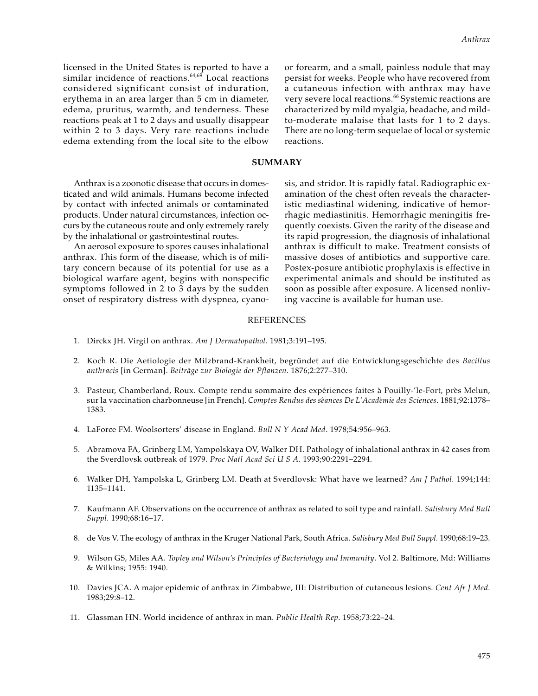licensed in the United States is reported to have a similar incidence of reactions. $64,69$  Local reactions considered significant consist of induration, erythema in an area larger than 5 cm in diameter, edema, pruritus, warmth, and tenderness. These reactions peak at 1 to 2 days and usually disappear within 2 to 3 days. Very rare reactions include edema extending from the local site to the elbow or forearm, and a small, painless nodule that may persist for weeks. People who have recovered from a cutaneous infection with anthrax may have very severe local reactions.<sup>66</sup> Systemic reactions are characterized by mild myalgia, headache, and mildto-moderate malaise that lasts for 1 to 2 days. There are no long-term sequelae of local or systemic reactions.

# **SUMMARY**

Anthrax is a zoonotic disease that occurs in domesticated and wild animals. Humans become infected by contact with infected animals or contaminated products. Under natural circumstances, infection occurs by the cutaneous route and only extremely rarely by the inhalational or gastrointestinal routes.

An aerosol exposure to spores causes inhalational anthrax. This form of the disease, which is of military concern because of its potential for use as a biological warfare agent, begins with nonspecific symptoms followed in 2 to 3 days by the sudden onset of respiratory distress with dyspnea, cyanosis, and stridor. It is rapidly fatal. Radiographic examination of the chest often reveals the characteristic mediastinal widening, indicative of hemorrhagic mediastinitis. Hemorrhagic meningitis frequently coexists. Given the rarity of the disease and its rapid progression, the diagnosis of inhalational anthrax is difficult to make. Treatment consists of massive doses of antibiotics and supportive care. Postex-posure antibiotic prophylaxis is effective in experimental animals and should be instituted as soon as possible after exposure. A licensed nonliving vaccine is available for human use.

# REFERENCES

- 1. Dirckx JH. Virgil on anthrax. *Am J Dermatopathol.* 1981;3:191–195.
- 2. Koch R. Die Aetiologie der Milzbrand-Krankheit, begründet auf die Entwicklungsgeschichte des *Bacillus anthracis* [in German]. *Beiträge zur Biologie der Pflanzen.* 1876;2:277–310.
- 3. Pasteur, Chamberland, Roux. Compte rendu sommaire des expériences faites à Pouilly-'le-Fort, près Melun, sur la vaccination charbonneuse [in French]. *Comptes Rendus des séances De L'Académie des Sciences*. 1881;92:1378– 1383.
- 4. LaForce FM. Woolsorters' disease in England. *Bull N Y Acad Med*. 1978;54:956–963.
- 5. Abramova FA, Grinberg LM, Yampolskaya OV, Walker DH. Pathology of inhalational anthrax in 42 cases from the Sverdlovsk outbreak of 1979. *Proc Natl Acad Sci U S A.* 1993;90:2291–2294.
- 6. Walker DH, Yampolska L, Grinberg LM. Death at Sverdlovsk: What have we learned? *Am J Pathol.* 1994;144: 1135–1141.
- 7. Kaufmann AF. Observations on the occurrence of anthrax as related to soil type and rainfall. *Salisbury Med Bull Suppl.* 1990;68:16–17.
- 8. de Vos V. The ecology of anthrax in the Kruger National Park, South Africa. *Salisbury Med Bull Suppl.* 1990;68:19–23.
- 9. Wilson GS, Miles AA. *Topley and Wilson's Principles of Bacteriology and Immunity*. Vol 2. Baltimore, Md: Williams & Wilkins; 1955: 1940.
- 10. Davies JCA. A major epidemic of anthrax in Zimbabwe, III: Distribution of cutaneous lesions. *Cent Afr J Med.* 1983;29:8–12.
- 11. Glassman HN. World incidence of anthrax in man. *Public Health Rep*. 1958;73:22–24.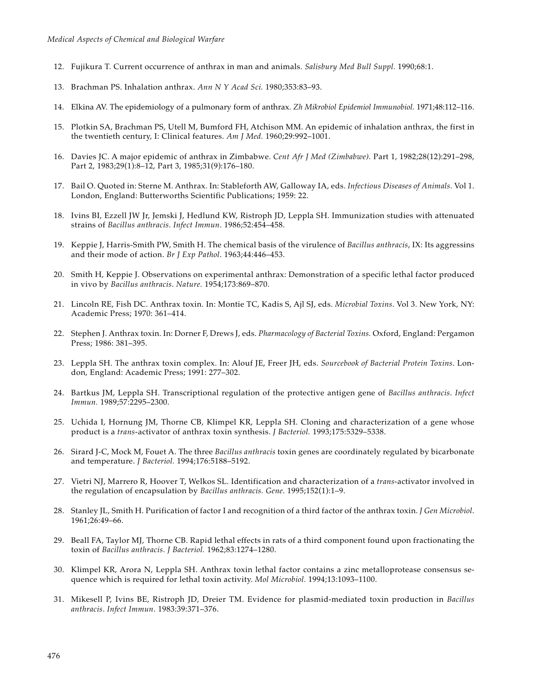- 12. Fujikura T. Current occurrence of anthrax in man and animals. *Salisbury Med Bull Suppl.* 1990;68:1.
- 13. Brachman PS. Inhalation anthrax. *Ann N Y Acad Sci.* 1980;353:83–93.
- 14. Elkina AV. The epidemiology of a pulmonary form of anthrax. *Zh Mikrobiol Epidemiol Immunobiol.* 1971;48:112–116.
- 15. Plotkin SA, Brachman PS, Utell M, Bumford FH, Atchison MM. An epidemic of inhalation anthrax, the first in the twentieth century, I: Clinical features. *Am J Med.* 1960;29:992–1001.
- 16. Davies JC. A major epidemic of anthrax in Zimbabwe. *Cent Afr J Med (Zimbabwe).* Part 1, 1982;28(12):291–298, Part 2, 1983;29(1):8–12, Part 3, 1985;31(9):176–180.
- 17. Bail O. Quoted in: Sterne M. Anthrax. In: Stableforth AW, Galloway IA, eds. *Infectious Diseases of Animals.* Vol 1. London, England: Butterworths Scientific Publications; 1959: 22.
- 18. Ivins BI, Ezzell JW Jr, Jemski J, Hedlund KW, Ristroph JD, Leppla SH. Immunization studies with attenuated strains of *Bacillus anthracis*. *Infect Immun*. 1986;52:454–458.
- 19. Keppie J, Harris-Smith PW, Smith H. The chemical basis of the virulence of *Bacillus anthracis*, IX: Its aggressins and their mode of action. *Br J Exp Pathol*. 1963;44:446–453.
- 20. Smith H, Keppie J. Observations on experimental anthrax: Demonstration of a specific lethal factor produced in vivo by *Bacillus anthracis*. *Nature.* 1954;173:869–870.
- 21. Lincoln RE, Fish DC. Anthrax toxin. In: Montie TC, Kadis S, Ajl SJ, eds. *Microbial Toxins*. Vol 3. New York, NY: Academic Press; 1970: 361–414.
- 22. Stephen J. Anthrax toxin. In: Dorner F, Drews J, eds. *Pharmacology of Bacterial Toxins.* Oxford, England: Pergamon Press; 1986: 381–395.
- 23. Leppla SH. The anthrax toxin complex. In: Alouf JE, Freer JH, eds. *Sourcebook of Bacterial Protein Toxins*. London, England: Academic Press; 1991: 277–302.
- 24. Bartkus JM, Leppla SH. Transcriptional regulation of the protective antigen gene of *Bacillus anthracis*. *Infect Immun.* 1989;57:2295–2300.
- 25. Uchida I, Hornung JM, Thorne CB, Klimpel KR, Leppla SH. Cloning and characterization of a gene whose product is a *trans*-activator of anthrax toxin synthesis. *J Bacteriol.* 1993;175:5329–5338.
- 26. Sirard J-C, Mock M, Fouet A. The three *Bacillus anthracis* toxin genes are coordinately regulated by bicarbonate and temperature. *J Bacteriol.* 1994;176:5188–5192.
- 27. Vietri NJ, Marrero R, Hoover T, Welkos SL. Identification and characterization of a *trans*-activator involved in the regulation of encapsulation by *Bacillus anthracis. Gene*. 1995;152(1):1–9.
- 28. Stanley JL, Smith H. Purification of factor I and recognition of a third factor of the anthrax toxin. *J Gen Microbiol*. 1961;26:49–66.
- 29. Beall FA, Taylor MJ, Thorne CB. Rapid lethal effects in rats of a third component found upon fractionating the toxin of *Bacillus anthracis*. *J Bacteriol.* 1962;83:1274–1280.
- 30. Klimpel KR, Arora N, Leppla SH. Anthrax toxin lethal factor contains a zinc metalloprotease consensus sequence which is required for lethal toxin activity. *Mol Microbiol.* 1994;13:1093–1100.
- 31. Mikesell P, Ivins BE, Ristroph JD, Dreier TM. Evidence for plasmid-mediated toxin production in *Bacillus anthracis*. *Infect Immun*. 1983:39:371–376.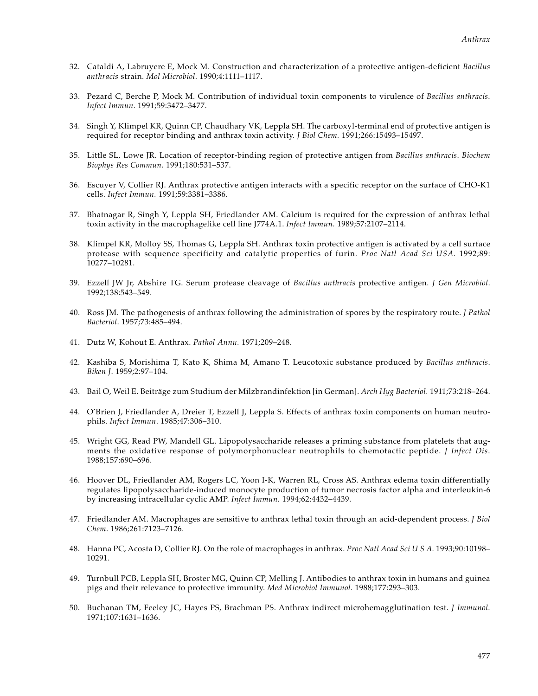- 32. Cataldi A, Labruyere E, Mock M. Construction and characterization of a protective antigen-deficient *Bacillus anthracis* strain. *Mol Microbiol*. 1990;4:1111–1117.
- 33. Pezard C, Berche P, Mock M. Contribution of individual toxin components to virulence of *Bacillus anthracis*. *Infect Immun*. 1991;59:3472–3477.
- 34. Singh Y, Klimpel KR, Quinn CP, Chaudhary VK, Leppla SH. The carboxyl-terminal end of protective antigen is required for receptor binding and anthrax toxin activity. *J Biol Chem.* 1991;266:15493–15497.
- 35. Little SL, Lowe JR. Location of receptor-binding region of protective antigen from *Bacillus anthracis*. *Biochem Biophys Res Commun*. 1991;180:531–537.
- 36. Escuyer V, Collier RJ. Anthrax protective antigen interacts with a specific receptor on the surface of CHO-K1 cells. *Infect Immun.* 1991;59:3381–3386.
- 37. Bhatnagar R, Singh Y, Leppla SH, Friedlander AM. Calcium is required for the expression of anthrax lethal toxin activity in the macrophagelike cell line J774A.1. *Infect Immun.* 1989;57:2107–2114.
- 38. Klimpel KR, Molloy SS, Thomas G, Leppla SH. Anthrax toxin protective antigen is activated by a cell surface protease with sequence specificity and catalytic properties of furin. *Proc Natl Acad Sci USA.* 1992;89: 10277–10281.
- 39. Ezzell JW Jr, Abshire TG. Serum protease cleavage of *Bacillus anthracis* protective antigen. *J Gen Microbiol*. 1992;138:543–549.
- 40. Ross JM. The pathogenesis of anthrax following the administration of spores by the respiratory route. *J Pathol Bacteriol*. 1957;73:485–494.
- 41. Dutz W, Kohout E. Anthrax. *Pathol Annu.* 1971;209–248.
- 42. Kashiba S, Morishima T, Kato K, Shima M, Amano T. Leucotoxic substance produced by *Bacillus anthracis*. *Biken J*. 1959;2:97–104.
- 43. Bail O, Weil E. Beiträge zum Studium der Milzbrandinfektion [in German]. *Arch Hyg Bacteriol.* 1911;73:218–264.
- 44. O'Brien J, Friedlander A, Dreier T, Ezzell J, Leppla S. Effects of anthrax toxin components on human neutrophils. *Infect Immun*. 1985;47:306–310.
- 45. Wright GG, Read PW, Mandell GL. Lipopolysaccharide releases a priming substance from platelets that augments the oxidative response of polymorphonuclear neutrophils to chemotactic peptide. *J Infect Dis*. 1988;157:690–696.
- 46. Hoover DL, Friedlander AM, Rogers LC, Yoon I-K, Warren RL, Cross AS. Anthrax edema toxin differentially regulates lipopolysaccharide-induced monocyte production of tumor necrosis factor alpha and interleukin-6 by increasing intracellular cyclic AMP. *Infect Immun.* 1994;62:4432–4439.
- 47. Friedlander AM. Macrophages are sensitive to anthrax lethal toxin through an acid-dependent process. *J Biol Chem*. 1986;261:7123–7126.
- 48. Hanna PC, Acosta D, Collier RJ. On the role of macrophages in anthrax. *Proc Natl Acad Sci U S A.* 1993;90:10198– 10291.
- 49. Turnbull PCB, Leppla SH, Broster MG, Quinn CP, Melling J. Antibodies to anthrax toxin in humans and guinea pigs and their relevance to protective immunity. *Med Microbiol Immunol*. 1988;177:293–303.
- 50. Buchanan TM, Feeley JC, Hayes PS, Brachman PS. Anthrax indirect microhemagglutination test. *J Immunol*. 1971;107:1631–1636.